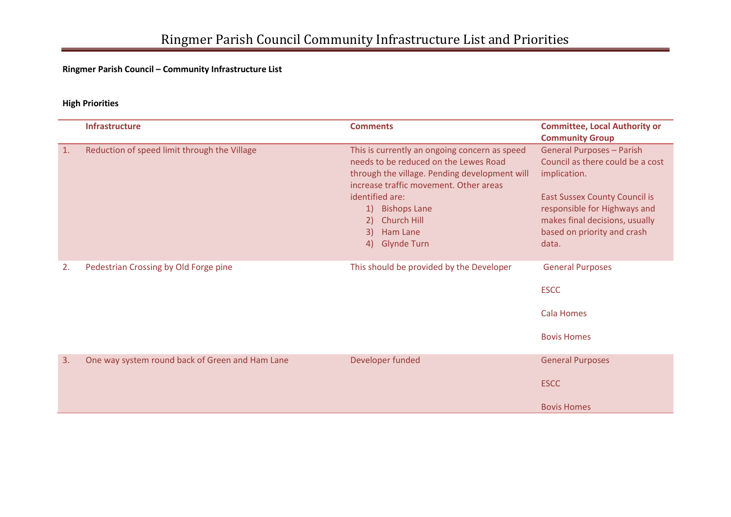### **Ringmer Parish Council – Community Infrastructure List**

#### **High Priorities**

|                | <b>Infrastructure</b>                           | <b>Comments</b>                                                                                                                                                                   | <b>Committee, Local Authority or</b><br><b>Community Group</b>                                                                                 |
|----------------|-------------------------------------------------|-----------------------------------------------------------------------------------------------------------------------------------------------------------------------------------|------------------------------------------------------------------------------------------------------------------------------------------------|
| $\mathbf{1}$ . | Reduction of speed limit through the Village    | This is currently an ongoing concern as speed<br>needs to be reduced on the Lewes Road<br>through the village. Pending development will<br>increase traffic movement. Other areas | <b>General Purposes - Parish</b><br>Council as there could be a cost<br>implication.                                                           |
|                |                                                 | identified are:<br>1) Bishops Lane<br>Church Hill<br>$\left(2\right)$<br>3)<br>Ham Lane<br><b>Glynde Turn</b><br>4)                                                               | <b>East Sussex County Council is</b><br>responsible for Highways and<br>makes final decisions, usually<br>based on priority and crash<br>data. |
| 2.             | Pedestrian Crossing by Old Forge pine           | This should be provided by the Developer                                                                                                                                          | <b>General Purposes</b><br><b>ESCC</b>                                                                                                         |
|                |                                                 |                                                                                                                                                                                   | <b>Cala Homes</b>                                                                                                                              |
|                |                                                 |                                                                                                                                                                                   | <b>Bovis Homes</b>                                                                                                                             |
| 3.             | One way system round back of Green and Ham Lane | Developer funded                                                                                                                                                                  | <b>General Purposes</b>                                                                                                                        |
|                |                                                 |                                                                                                                                                                                   | <b>ESCC</b>                                                                                                                                    |
|                |                                                 |                                                                                                                                                                                   | <b>Bovis Homes</b>                                                                                                                             |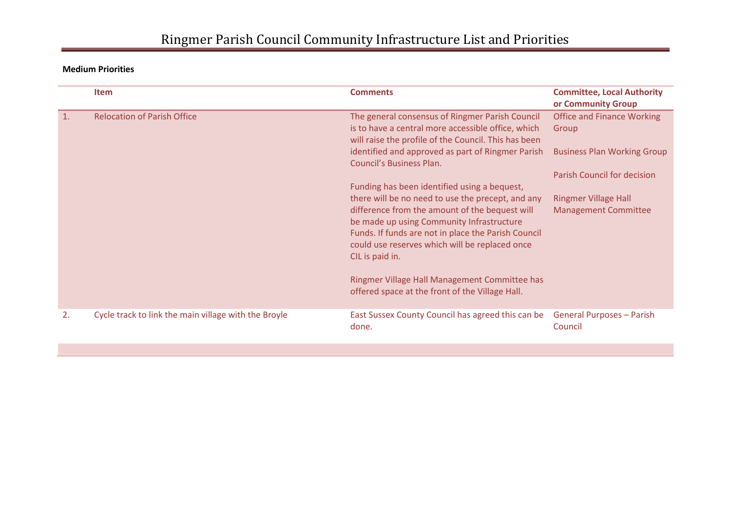**Medium Priorities**

|                | <b>Item</b>                                          | <b>Comments</b>                                                                                                                                                                                                                                                                                                               | <b>Committee, Local Authority</b><br>or Community Group    |
|----------------|------------------------------------------------------|-------------------------------------------------------------------------------------------------------------------------------------------------------------------------------------------------------------------------------------------------------------------------------------------------------------------------------|------------------------------------------------------------|
| $\mathbf{1}$ . | <b>Relocation of Parish Office</b>                   | The general consensus of Ringmer Parish Council<br>is to have a central more accessible office, which<br>will raise the profile of the Council. This has been                                                                                                                                                                 | <b>Office and Finance Working</b><br>Group                 |
|                |                                                      | identified and approved as part of Ringmer Parish<br>Council's Business Plan.                                                                                                                                                                                                                                                 | <b>Business Plan Working Group</b>                         |
|                |                                                      | Funding has been identified using a bequest,                                                                                                                                                                                                                                                                                  | Parish Council for decision                                |
|                |                                                      | there will be no need to use the precept, and any<br>difference from the amount of the bequest will<br>be made up using Community Infrastructure<br>Funds. If funds are not in place the Parish Council<br>could use reserves which will be replaced once<br>CIL is paid in.<br>Ringmer Village Hall Management Committee has | <b>Ringmer Village Hall</b><br><b>Management Committee</b> |
|                |                                                      | offered space at the front of the Village Hall.                                                                                                                                                                                                                                                                               |                                                            |
| 2.             | Cycle track to link the main village with the Broyle | East Sussex County Council has agreed this can be<br>done.                                                                                                                                                                                                                                                                    | <b>General Purposes - Parish</b><br>Council                |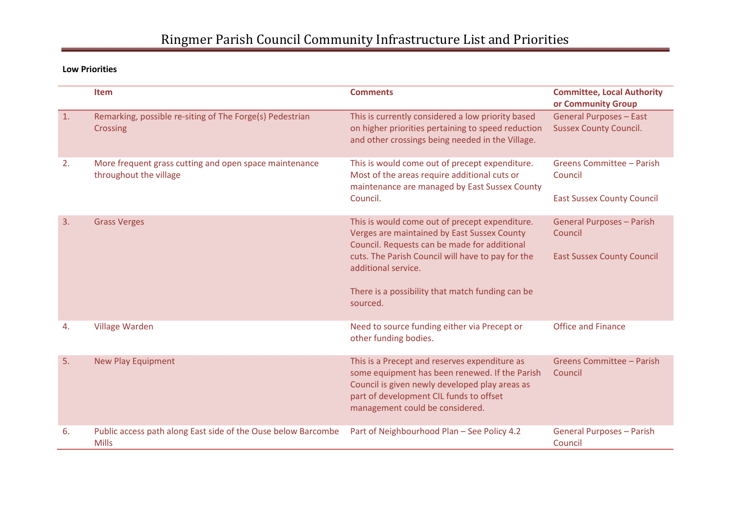**Low Priorities**

|                | Item                                                                             | <b>Comments</b>                                                                                                                                                                                                                 | <b>Committee, Local Authority</b><br>or Community Group         |
|----------------|----------------------------------------------------------------------------------|---------------------------------------------------------------------------------------------------------------------------------------------------------------------------------------------------------------------------------|-----------------------------------------------------------------|
| $\mathbf{1}$ . | Remarking, possible re-siting of The Forge(s) Pedestrian<br><b>Crossing</b>      | This is currently considered a low priority based<br>on higher priorities pertaining to speed reduction<br>and other crossings being needed in the Village.                                                                     | <b>General Purposes - East</b><br><b>Sussex County Council.</b> |
| 2.             | More frequent grass cutting and open space maintenance<br>throughout the village | This is would come out of precept expenditure.<br>Most of the areas require additional cuts or<br>maintenance are managed by East Sussex County<br>Council.                                                                     | Greens Committee - Parish<br>Council                            |
|                |                                                                                  |                                                                                                                                                                                                                                 | <b>East Sussex County Council</b>                               |
| 3.             | <b>Grass Verges</b>                                                              | This is would come out of precept expenditure.<br>Verges are maintained by East Sussex County<br>Council. Requests can be made for additional                                                                                   | <b>General Purposes - Parish</b><br>Council                     |
|                |                                                                                  | cuts. The Parish Council will have to pay for the<br>additional service.                                                                                                                                                        | <b>East Sussex County Council</b>                               |
|                |                                                                                  | There is a possibility that match funding can be<br>sourced.                                                                                                                                                                    |                                                                 |
| 4.             | <b>Village Warden</b>                                                            | Need to source funding either via Precept or<br>other funding bodies.                                                                                                                                                           | <b>Office and Finance</b>                                       |
| 5.             | <b>New Play Equipment</b>                                                        | This is a Precept and reserves expenditure as<br>some equipment has been renewed. If the Parish<br>Council is given newly developed play areas as<br>part of development CIL funds to offset<br>management could be considered. | <b>Greens Committee - Parish</b><br>Council                     |
| 6.             | Public access path along East side of the Ouse below Barcombe<br><b>Mills</b>    | Part of Neighbourhood Plan - See Policy 4.2                                                                                                                                                                                     | <b>General Purposes - Parish</b><br>Council                     |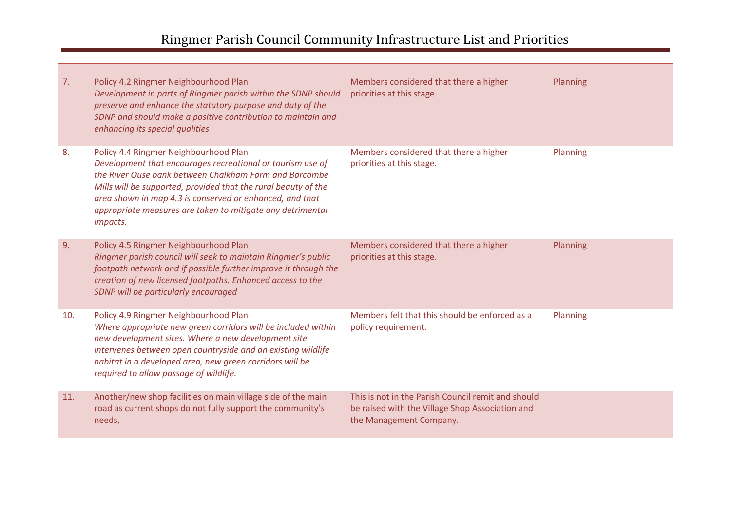| 7.  | Policy 4.2 Ringmer Neighbourhood Plan<br>Development in parts of Ringmer parish within the SDNP should<br>preserve and enhance the statutory purpose and duty of the<br>SDNP and should make a positive contribution to maintain and<br>enhancing its special qualities                                                                                               | Members considered that there a higher<br>priorities at this stage.                                                              | Planning |
|-----|-----------------------------------------------------------------------------------------------------------------------------------------------------------------------------------------------------------------------------------------------------------------------------------------------------------------------------------------------------------------------|----------------------------------------------------------------------------------------------------------------------------------|----------|
| 8.  | Policy 4.4 Ringmer Neighbourhood Plan<br>Development that encourages recreational or tourism use of<br>the River Ouse bank between Chalkham Farm and Barcombe<br>Mills will be supported, provided that the rural beauty of the<br>area shown in map 4.3 is conserved or enhanced, and that<br>appropriate measures are taken to mitigate any detrimental<br>impacts. | Members considered that there a higher<br>priorities at this stage.                                                              | Planning |
| 9.  | Policy 4.5 Ringmer Neighbourhood Plan<br>Ringmer parish council will seek to maintain Ringmer's public<br>footpath network and if possible further improve it through the<br>creation of new licensed footpaths. Enhanced access to the<br>SDNP will be particularly encouraged                                                                                       | Members considered that there a higher<br>priorities at this stage.                                                              | Planning |
| 10. | Policy 4.9 Ringmer Neighbourhood Plan<br>Where appropriate new green corridors will be included within<br>new development sites. Where a new development site<br>intervenes between open countryside and an existing wildlife<br>habitat in a developed area, new green corridors will be<br>required to allow passage of wildlife.                                   | Members felt that this should be enforced as a<br>policy requirement.                                                            | Planning |
| 11. | Another/new shop facilities on main village side of the main<br>road as current shops do not fully support the community's<br>needs,                                                                                                                                                                                                                                  | This is not in the Parish Council remit and should<br>be raised with the Village Shop Association and<br>the Management Company. |          |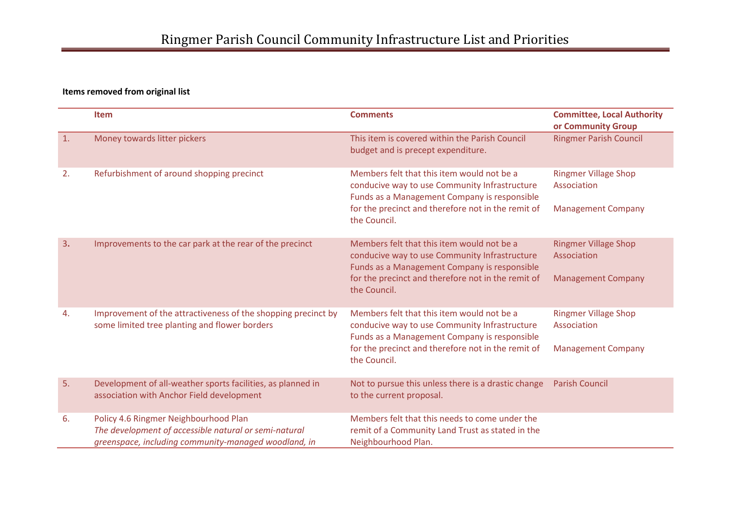#### **Items removed from original list**

|                | <b>Item</b>                                                                                                                                            | <b>Comments</b>                                                                                                                             | <b>Committee, Local Authority</b><br>or Community Group |
|----------------|--------------------------------------------------------------------------------------------------------------------------------------------------------|---------------------------------------------------------------------------------------------------------------------------------------------|---------------------------------------------------------|
| $\mathbf{1}$ . | Money towards litter pickers                                                                                                                           | This item is covered within the Parish Council<br>budget and is precept expenditure.                                                        | <b>Ringmer Parish Council</b>                           |
| 2.             | Refurbishment of around shopping precinct                                                                                                              | Members felt that this item would not be a<br>conducive way to use Community Infrastructure<br>Funds as a Management Company is responsible | <b>Ringmer Village Shop</b><br>Association              |
|                |                                                                                                                                                        | for the precinct and therefore not in the remit of<br>the Council.                                                                          | <b>Management Company</b>                               |
| 3.             | Improvements to the car park at the rear of the precinct                                                                                               | Members felt that this item would not be a<br>conducive way to use Community Infrastructure<br>Funds as a Management Company is responsible | <b>Ringmer Village Shop</b><br>Association              |
|                |                                                                                                                                                        | for the precinct and therefore not in the remit of<br>the Council.                                                                          | <b>Management Company</b>                               |
| 4.             | Improvement of the attractiveness of the shopping precinct by<br>some limited tree planting and flower borders                                         | Members felt that this item would not be a<br>conducive way to use Community Infrastructure<br>Funds as a Management Company is responsible | <b>Ringmer Village Shop</b><br>Association              |
|                |                                                                                                                                                        | for the precinct and therefore not in the remit of<br>the Council.                                                                          | <b>Management Company</b>                               |
| 5.             | Development of all-weather sports facilities, as planned in<br>association with Anchor Field development                                               | Not to pursue this unless there is a drastic change<br>to the current proposal.                                                             | <b>Parish Council</b>                                   |
| 6.             | Policy 4.6 Ringmer Neighbourhood Plan<br>The development of accessible natural or semi-natural<br>greenspace, including community-managed woodland, in | Members felt that this needs to come under the<br>remit of a Community Land Trust as stated in the<br>Neighbourhood Plan.                   |                                                         |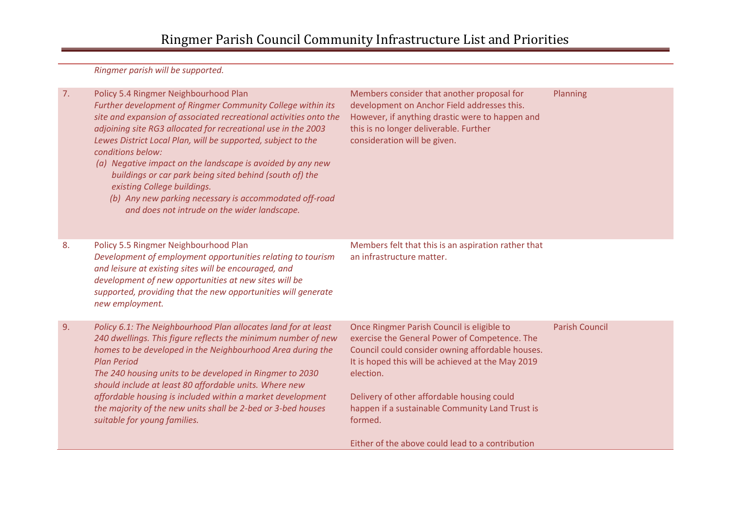*Ringmer parish will be supported.*

| (a) Negative impact on the landscape is avoided by any new<br>buildings or car park being sited behind (south of) the<br>existing College buildings.<br>(b) Any new parking necessary is accommodated off-road<br>and does not intrude on the wider landscape.                                                                                                                                                                                                                                          |                                                                                                                                                                                                                                                                                                                               |                                                                                                                                                  |
|---------------------------------------------------------------------------------------------------------------------------------------------------------------------------------------------------------------------------------------------------------------------------------------------------------------------------------------------------------------------------------------------------------------------------------------------------------------------------------------------------------|-------------------------------------------------------------------------------------------------------------------------------------------------------------------------------------------------------------------------------------------------------------------------------------------------------------------------------|--------------------------------------------------------------------------------------------------------------------------------------------------|
| Policy 5.5 Ringmer Neighbourhood Plan<br>Development of employment opportunities relating to tourism<br>and leisure at existing sites will be encouraged, and<br>development of new opportunities at new sites will be<br>supported, providing that the new opportunities will generate<br>new employment.                                                                                                                                                                                              | Members felt that this is an aspiration rather that<br>an infrastructure matter.                                                                                                                                                                                                                                              |                                                                                                                                                  |
| Policy 6.1: The Neighbourhood Plan allocates land for at least<br>240 dwellings. This figure reflects the minimum number of new<br>homes to be developed in the Neighbourhood Area during the<br><b>Plan Period</b><br>The 240 housing units to be developed in Ringmer to 2030<br>should include at least 80 affordable units. Where new<br>affordable housing is included within a market development<br>the majority of the new units shall be 2-bed or 3-bed houses<br>suitable for young families. | Once Ringmer Parish Council is eligible to<br>exercise the General Power of Competence. The<br>Council could consider owning affordable houses.<br>It is hoped this will be achieved at the May 2019<br>election.<br>Delivery of other affordable housing could<br>happen if a sustainable Community Land Trust is<br>formed. | <b>Parish Council</b>                                                                                                                            |
|                                                                                                                                                                                                                                                                                                                                                                                                                                                                                                         | conditions below:                                                                                                                                                                                                                                                                                                             | consideration will be given.<br>Lewes District Local Plan, will be supported, subject to the<br>Either of the above could lead to a contribution |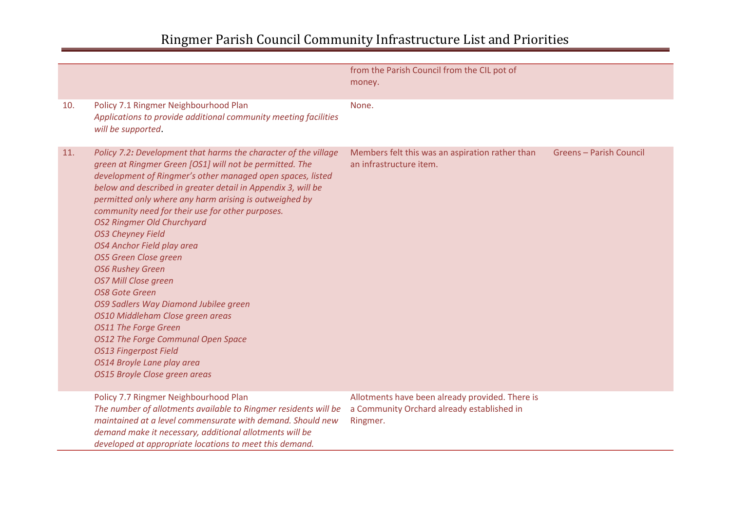|     |                                                                                                                                                                                                                                                                                                                                                                                                                                                                                                                                                                                                                                                                                                                                                                                                                                    | from the Parish Council from the CIL pot of<br>money.                                                     |                         |
|-----|------------------------------------------------------------------------------------------------------------------------------------------------------------------------------------------------------------------------------------------------------------------------------------------------------------------------------------------------------------------------------------------------------------------------------------------------------------------------------------------------------------------------------------------------------------------------------------------------------------------------------------------------------------------------------------------------------------------------------------------------------------------------------------------------------------------------------------|-----------------------------------------------------------------------------------------------------------|-------------------------|
| 10. | Policy 7.1 Ringmer Neighbourhood Plan<br>Applications to provide additional community meeting facilities<br>will be supported.                                                                                                                                                                                                                                                                                                                                                                                                                                                                                                                                                                                                                                                                                                     | None.                                                                                                     |                         |
| 11. | Policy 7.2: Development that harms the character of the village<br>green at Ringmer Green [OS1] will not be permitted. The<br>development of Ringmer's other managed open spaces, listed<br>below and described in greater detail in Appendix 3, will be<br>permitted only where any harm arising is outweighed by<br>community need for their use for other purposes.<br><b>OS2 Ringmer Old Churchyard</b><br><b>OS3 Cheyney Field</b><br>OS4 Anchor Field play area<br>OS5 Green Close green<br><b>OS6 Rushey Green</b><br><b>OS7 Mill Close green</b><br><b>OS8 Gote Green</b><br>OS9 Sadlers Way Diamond Jubilee green<br>OS10 Middleham Close green areas<br><b>OS11 The Forge Green</b><br>OS12 The Forge Communal Open Space<br><b>OS13 Fingerpost Field</b><br>OS14 Broyle Lane play area<br>OS15 Broyle Close green areas | Members felt this was an aspiration rather than<br>an infrastructure item.                                | Greens - Parish Council |
|     | Policy 7.7 Ringmer Neighbourhood Plan<br>The number of allotments available to Ringmer residents will be<br>maintained at a level commensurate with demand. Should new<br>demand make it necessary, additional allotments will be<br>developed at appropriate locations to meet this demand.                                                                                                                                                                                                                                                                                                                                                                                                                                                                                                                                       | Allotments have been already provided. There is<br>a Community Orchard already established in<br>Ringmer. |                         |